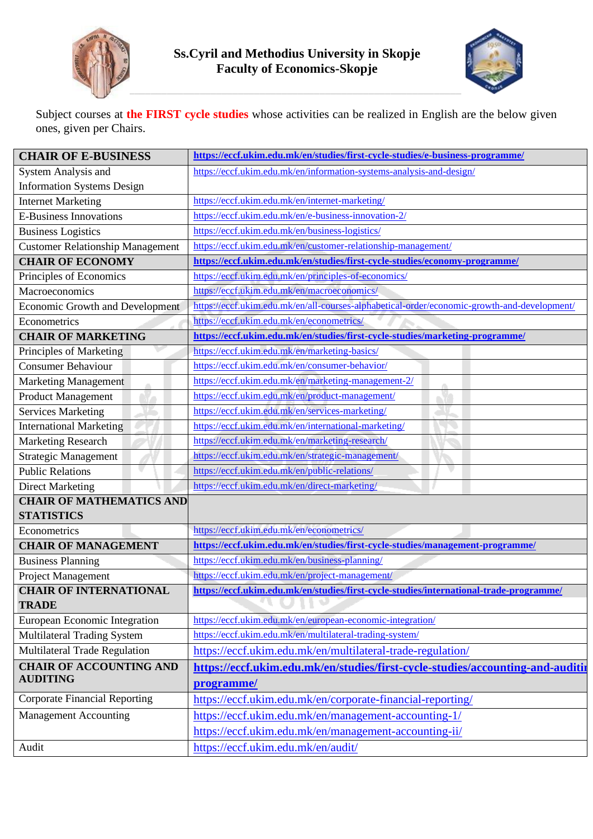



Subject courses at **the FIRST cycle studies** whose activities can be realized in English are the below given ones, given per Chairs.

| <b>CHAIR OF E-BUSINESS</b>              | https://eccf.ukim.edu.mk/en/studies/first-cycle-studies/e-business-programme/               |
|-----------------------------------------|---------------------------------------------------------------------------------------------|
| System Analysis and                     | https://eccf.ukim.edu.mk/en/information-systems-analysis-and-design/                        |
| <b>Information Systems Design</b>       |                                                                                             |
| <b>Internet Marketing</b>               | https://eccf.ukim.edu.mk/en/internet-marketing/                                             |
| <b>E-Business Innovations</b>           | https://eccf.ukim.edu.mk/en/e-business-innovation-2/                                        |
| <b>Business Logistics</b>               | https://eccf.ukim.edu.mk/en/business-logistics/                                             |
| <b>Customer Relationship Management</b> | https://eccf.ukim.edu.mk/en/customer-relationship-management/                               |
| <b>CHAIR OF ECONOMY</b>                 | https://eccf.ukim.edu.mk/en/studies/first-cycle-studies/economy-programme/                  |
| Principles of Economics                 | https://eccf.ukim.edu.mk/en/principles-of-economics/                                        |
| Macroeconomics                          | https://eccf.ukim.edu.mk/en/macroeconomics/                                                 |
| Economic Growth and Development         | https://eccf.ukim.edu.mk/en/all-courses-alphabetical-order/economic-growth-and-development/ |
| Econometrics                            | https://eccf.ukim.edu.mk/en/econometrics/                                                   |
| <b>CHAIR OF MARKETING</b>               | https://eccf.ukim.edu.mk/en/studies/first-cycle-studies/marketing-programme/                |
| Principles of Marketing                 | https://eccf.ukim.edu.mk/en/marketing-basics/                                               |
| <b>Consumer Behaviour</b>               | https://eccf.ukim.edu.mk/en/consumer-behavior/                                              |
| <b>Marketing Management</b>             | https://eccf.ukim.edu.mk/en/marketing-management-2/                                         |
| <b>Product Management</b>               | https://eccf.ukim.edu.mk/en/product-management/                                             |
| <b>Services Marketing</b>               | https://eccf.ukim.edu.mk/en/services-marketing/                                             |
| <b>International Marketing</b>          | https://eccf.ukim.edu.mk/en/international-marketing/                                        |
| <b>Marketing Research</b>               | https://eccf.ukim.edu.mk/en/marketing-research/                                             |
| <b>Strategic Management</b>             | https://eccf.ukim.edu.mk/en/strategic-management/                                           |
| <b>Public Relations</b>                 | https://eccf.ukim.edu.mk/en/public-relations/                                               |
| <b>Direct Marketing</b>                 | https://eccf.ukim.edu.mk/en/direct-marketing/                                               |
| <b>CHAIR OF MATHEMATICS AND</b>         |                                                                                             |
| <b>STATISTICS</b>                       |                                                                                             |
| Econometrics                            | https://eccf.ukim.edu.mk/en/econometrics/                                                   |
| <b>CHAIR OF MANAGEMENT</b>              | https://eccf.ukim.edu.mk/en/studies/first-cycle-studies/management-programme/               |
| <b>Business Planning</b>                | https://eccf.ukim.edu.mk/en/business-planning/                                              |
| Project Management                      | https://eccf.ukim.edu.mk/en/project-management/                                             |
| <b>CHAIR OF INTERNATIONAL</b>           | https://eccf.ukim.edu.mk/en/studies/first-cycle-studies/international-trade-programme/      |
| <b>TRADE</b>                            |                                                                                             |
| European Economic Integration           | https://eccf.ukim.edu.mk/en/european-economic-integration/                                  |
| Multilateral Trading System             | https://eccf.ukim.edu.mk/en/multilateral-trading-system/                                    |
| Multilateral Trade Regulation           | https://eccf.ukim.edu.mk/en/multilateral-trade-regulation/                                  |
| <b>CHAIR OF ACCOUNTING AND</b>          | https://eccf.ukim.edu.mk/en/studies/first-cycle-studies/accounting-and-auditin              |
| <b>AUDITING</b>                         | programme/                                                                                  |
| <b>Corporate Financial Reporting</b>    | https://eccf.ukim.edu.mk/en/corporate-financial-reporting/                                  |
| <b>Management Accounting</b>            | https://eccf.ukim.edu.mk/en/management-accounting-1/                                        |
|                                         | https://eccf.ukim.edu.mk/en/management-accounting-ii/                                       |
| Audit                                   | https://eccf.ukim.edu.mk/en/audit/                                                          |
|                                         |                                                                                             |